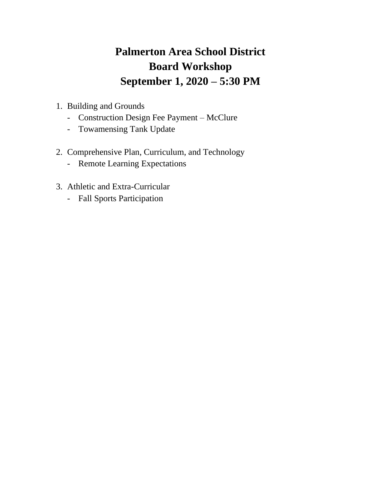# **Palmerton Area School District Board Workshop September 1, 2020 – 5:30 PM**

- 1. Building and Grounds
	- Construction Design Fee Payment McClure
	- Towamensing Tank Update
- 2. Comprehensive Plan, Curriculum, and Technology
	- Remote Learning Expectations
- 3. Athletic and Extra-Curricular
	- Fall Sports Participation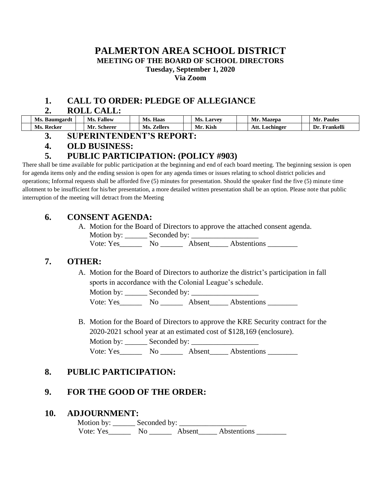#### **PALMERTON AREA SCHOOL DISTRICT MEETING OF THE BOARD OF SCHOOL DIRECTORS Tuesday, September 1, 2020 Via Zoom**

### **1. CALL TO ORDER: PLEDGE OF ALLEGIANCE**

#### **2. ROLL CALL:**

| Ms. Baumgardt | <b>Fallow</b><br>MS.           | Haas<br>Ms.            | Ms.<br>Larvey     | Мr<br>Mazepa      | Paules           |
|---------------|--------------------------------|------------------------|-------------------|-------------------|------------------|
| Recker<br>Ms. | $\sim$ $\sim$<br>Scherer<br>Mr | <i>L</i> ellers<br>Ms. | <b>Kish</b><br>Mr | Att.<br>Lochinger | Frankelli<br>l)r |

**3. SUPERINTENDENT'S REPORT:**

#### **4. OLD BUSINESS:**

#### **5. PUBLIC PARTICIPATION: (POLICY #903)**

There shall be time available for public participation at the beginning and end of each board meeting. The beginning session is open for agenda items only and the ending session is open for any agenda times or issues relating to school district policies and operations; Informal requests shall be afforded five (5) minutes for presentation. Should the speaker find the five (5) minute time allotment to be insufficient for his/her presentation, a more detailed written presentation shall be an option. Please note that public interruption of the meeting will detract from the Meeting

#### **6. CONSENT AGENDA:**

A. Motion for the Board of Directors to approve the attached consent agenda. Motion by: \_\_\_\_\_\_ Seconded by: \_\_\_\_\_\_\_\_\_\_\_\_\_\_\_\_\_\_

Vote: Yes\_\_\_\_\_\_\_\_ No \_\_\_\_\_\_\_ Absent\_\_\_\_\_ Abstentions \_\_\_\_\_\_\_\_\_

# **7. OTHER:**

A. Motion for the Board of Directors to authorize the district's participation in fall sports in accordance with the Colonial League's schedule.

Motion by: \_\_\_\_\_\_ Seconded by: \_\_\_\_\_\_\_\_\_\_\_\_\_\_\_\_\_\_

Vote: Yes\_\_\_\_\_\_\_\_\_\_ No \_\_\_\_\_\_\_\_\_\_ Abstentions \_\_\_\_\_\_\_\_\_ Abstentions

B. Motion for the Board of Directors to approve the KRE Security contract for the 2020-2021 school year at an estimated cost of \$128,169 (enclosure). Motion by: \_\_\_\_\_\_ Seconded by: \_\_\_\_\_\_\_\_\_\_\_\_\_\_\_\_\_\_ Vote: Yes\_\_\_\_\_\_\_\_ No \_\_\_\_\_\_\_\_ Absent\_\_\_\_\_\_ Abstentions \_\_\_\_\_\_\_\_\_

# **8. PUBLIC PARTICIPATION:**

# **9. FOR THE GOOD OF THE ORDER:**

#### **10. ADJOURNMENT:**

Motion by:  $\_\_\_\_\$  Seconded by:  $\_\_\_\_\_\_\_\_\_\_\_\_\_\_\_\_\_\_$ Vote: Yes\_\_\_\_\_\_\_\_ No \_\_\_\_\_\_\_ Absent\_\_\_\_\_ Abstentions \_\_\_\_\_\_\_\_\_